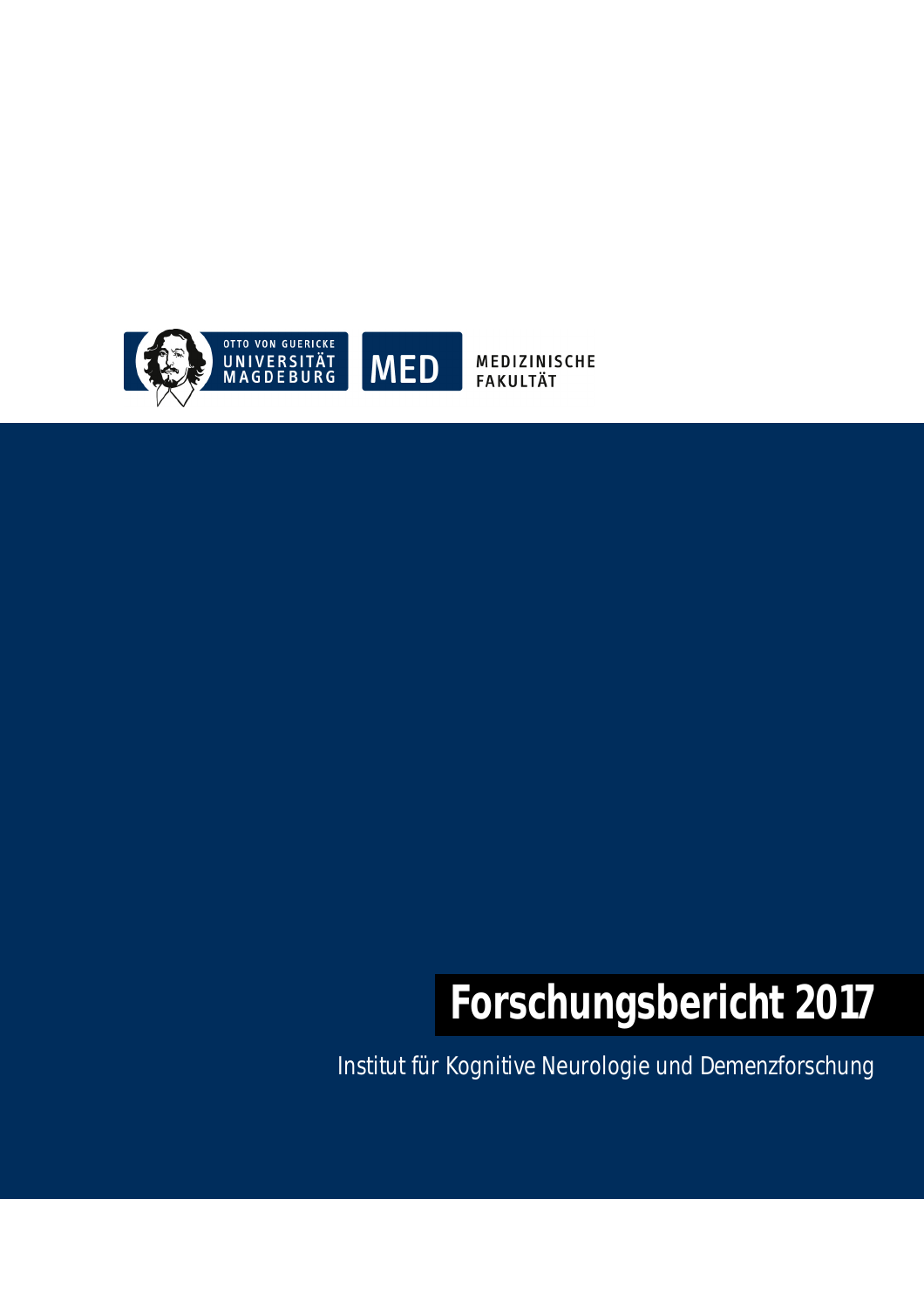

MEDIZINISCHE **FAKULTÄT** 

# **Forschungsbericht 2017**

Institut für Kognitive Neurologie und Demenzforschung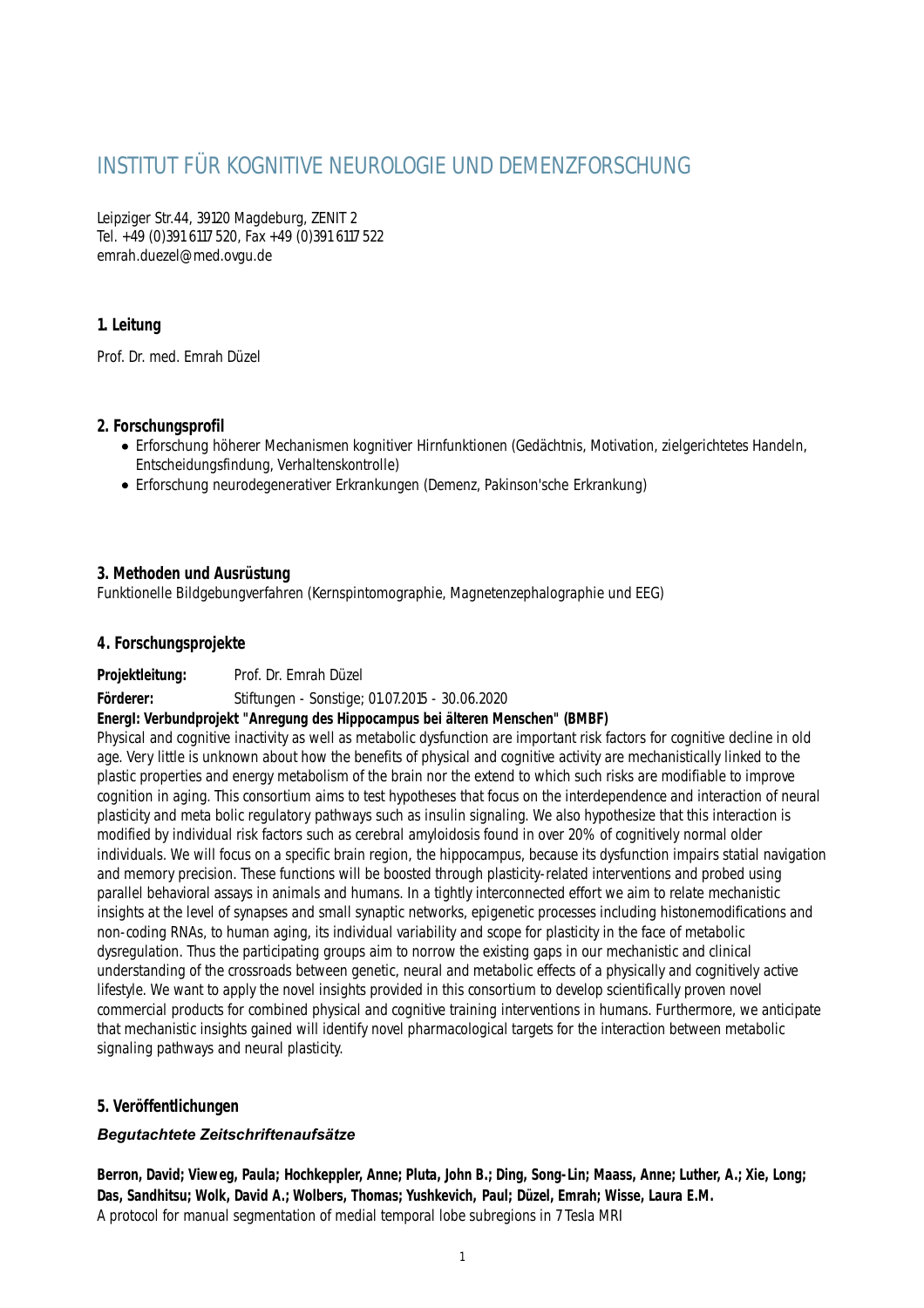# INSTITUT FÜR KOGNITIVE NEUROLOGIE UND DEMENZFORSCHUNG

Leipziger Str.44, 39120 Magdeburg, ZENIT 2 Tel. +49 (0)391 6117 520, Fax +49 (0)391 6117 522 emrah.duezel@med.ovgu.de

# **1. Leitung**

Prof. Dr. med. Emrah Düzel

#### **2. Forschungsprofil**

- Erforschung höherer Mechanismen kognitiver Hirnfunktionen (Gedächtnis, Motivation, zielgerichtetes Handeln, Entscheidungsfindung, Verhaltenskontrolle)
- Erforschung neurodegenerativer Erkrankungen (Demenz, Pakinson'sche Erkrankung)

#### **3. Methoden und Ausrüstung**

Funktionelle Bildgebungverfahren (Kernspintomographie, Magnetenzephalographie und EEG)

#### **4. Forschungsprojekte**

**Projektleitung:** Prof. Dr. Emrah Düzel

**Förderer:** Stiftungen - Sonstige; 01.07.2015 - 30.06.2020

#### **EnergI: Verbundprojekt "Anregung des Hippocampus bei älteren Menschen" (BMBF)**

Physical and cognitive inactivity as well as metabolic dysfunction are important risk factors for cognitive decline in old age. Very little is unknown about how the benefits of physical and cognitive activity are mechanistically linked to the plastic properties and energy metabolism of the brain nor the extend to which such risks are modifiable to improve cognition in aging. This consortium aims to test hypotheses that focus on the interdependence and interaction of neural plasticity and meta bolic regulatory pathways such as insulin signaling. We also hypothesize that this interaction is modified by individual risk factors such as cerebral amyloidosis found in over 20% of cognitively normal older individuals. We will focus on a specific brain region, the hippocampus, because its dysfunction impairs statial navigation and memory precision. These functions will be boosted through plasticity-related interventions and probed using parallel behavioral assays in animals and humans. In a tightly interconnected effort we aim to relate mechanistic insights at the level of synapses and small synaptic networks, epigenetic processes including histonemodifications and non-coding RNAs, to human aging, its individual variability and scope for plasticity in the face of metabolic dysregulation. Thus the participating groups aim to norrow the existing gaps in our mechanistic and clinical understanding of the crossroads between genetic, neural and metabolic effects of a physically and cognitively active lifestyle. We want to apply the novel insights provided in this consortium to develop scientifically proven novel commercial products for combined physical and cognitive training interventions in humans. Furthermore, we anticipate that mechanistic insights gained will identify novel pharmacological targets for the interaction between metabolic signaling pathways and neural plasticity.

# **5. Veröffentlichungen**

# *Begutachtete Zeitschriftenaufsätze*

**Berron, David; Vieweg, Paula; Hochkeppler, Anne; Pluta, John B.; Ding, Song-Lin; Maass, Anne; Luther, A.; Xie, Long; Das, Sandhitsu; Wolk, David A.; Wolbers, Thomas; Yushkevich, Paul; Düzel, Emrah; Wisse, Laura E.M.** A protocol for manual segmentation of medial temporal lobe subregions in 7 Tesla MRI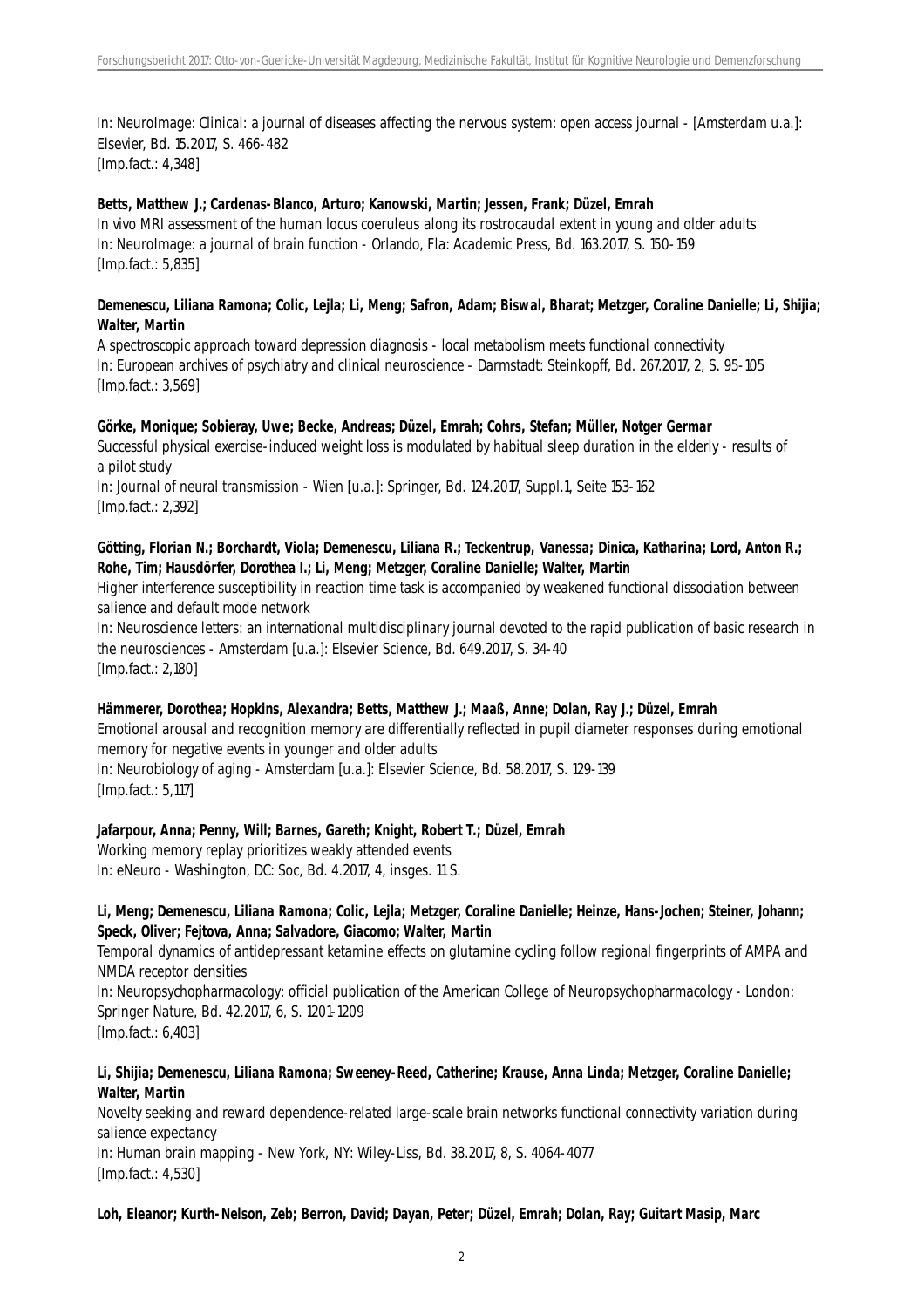In: NeuroImage: Clinical: a journal of diseases affecting the nervous system: open access journal - [Amsterdam u.a.]: Elsevier, Bd. 15.2017, S. 466-482 [Imp.fact.: 4,348]

#### **Betts, Matthew J.; Cardenas-Blanco, Arturo; Kanowski, Martin; Jessen, Frank; Düzel, Emrah**

In vivo MRI assessment of the human locus coeruleus along its rostrocaudal extent in young and older adults In: NeuroImage: a journal of brain function - Orlando, Fla: Academic Press, Bd. 163.2017, S. 150-159 [Imp.fact.: 5,835]

#### **Demenescu, Liliana Ramona; Colic, Lejla; Li, Meng; Safron, Adam; Biswal, Bharat; Metzger, Coraline Danielle; Li, Shijia; Walter, Martin**

A spectroscopic approach toward depression diagnosis - local metabolism meets functional connectivity In: European archives of psychiatry and clinical neuroscience - Darmstadt: Steinkopff, Bd. 267.2017, 2, S. 95-105 [Imp.fact.: 3,569]

#### **Görke, Monique; Sobieray, Uwe; Becke, Andreas; Düzel, Emrah; Cohrs, Stefan; Müller, Notger Germar**

Successful physical exercise-induced weight loss is modulated by habitual sleep duration in the elderly - results of a pilot study

In: Journal of neural transmission - Wien [u.a.]: Springer, Bd. 124.2017, Suppl.1, Seite 153-162 [Imp.fact.: 2,392]

#### **Götting, Florian N.; Borchardt, Viola; Demenescu, Liliana R.; Teckentrup, Vanessa; Dinica, Katharina; Lord, Anton R.; Rohe, Tim; Hausdörfer, Dorothea I.; Li, Meng; Metzger, Coraline Danielle; Walter, Martin**

Higher interference susceptibility in reaction time task is accompanied by weakened functional dissociation between salience and default mode network

In: Neuroscience letters: an international multidisciplinary journal devoted to the rapid publication of basic research in the neurosciences - Amsterdam [u.a.]: Elsevier Science, Bd. 649.2017, S. 34-40 [Imp.fact.: 2,180]

#### **Hämmerer, Dorothea; Hopkins, Alexandra; Betts, Matthew J.; Maaß, Anne; Dolan, Ray J.; Düzel, Emrah**

Emotional arousal and recognition memory are differentially reflected in pupil diameter responses during emotional memory for negative events in younger and older adults

In: Neurobiology of aging - Amsterdam [u.a.]: Elsevier Science, Bd. 58.2017, S. 129-139 [Imp.fact.: 5,117]

#### **Jafarpour, Anna; Penny, Will; Barnes, Gareth; Knight, Robert T.; Düzel, Emrah**

Working memory replay prioritizes weakly attended events In: eNeuro - Washington, DC: Soc, Bd. 4.2017, 4, insges. 11 S.

#### **Li, Meng; Demenescu, Liliana Ramona; Colic, Lejla; Metzger, Coraline Danielle; Heinze, Hans-Jochen; Steiner, Johann; Speck, Oliver; Fejtova, Anna; Salvadore, Giacomo; Walter, Martin**

Temporal dynamics of antidepressant ketamine effects on glutamine cycling follow regional fingerprints of AMPA and NMDA receptor densities

In: Neuropsychopharmacology: official publication of the American College of Neuropsychopharmacology - London: Springer Nature, Bd. 42.2017, 6, S. 1201-1209 [Imp.fact.: 6,403]

#### **Li, Shijia; Demenescu, Liliana Ramona; Sweeney-Reed, Catherine; Krause, Anna Linda; Metzger, Coraline Danielle; Walter, Martin**

Novelty seeking and reward dependence-related large-scale brain networks functional connectivity variation during salience expectancy In: Human brain mapping - New York, NY: Wiley-Liss, Bd. 38.2017, 8, S. 4064-4077 [Imp.fact.: 4,530]

**Loh, Eleanor; Kurth-Nelson, Zeb; Berron, David; Dayan, Peter; Düzel, Emrah; Dolan, Ray; Guitart Masip, Marc**